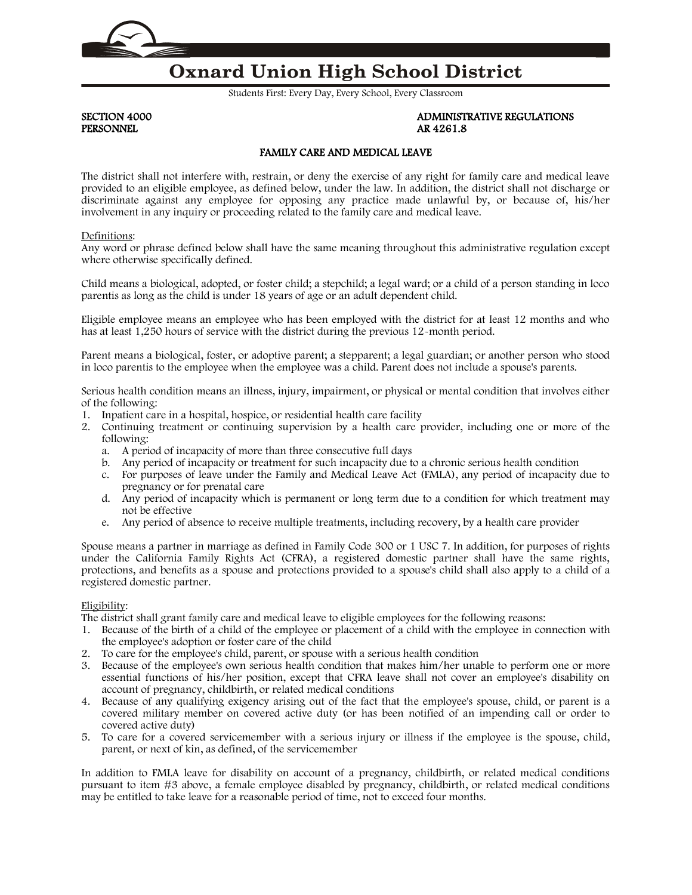

# **Oxnard Union High School District**

Students First: Every Day, Every School, Every Classroom

PERSONNEL AR 4261.8

# SECTION 4000 ADMINISTRATIVE REGULATIONS

# FAMILY CARE AND MEDICAL LEAVE

The district shall not interfere with, restrain, or deny the exercise of any right for family care and medical leave provided to an eligible employee, as defined below, under the law. In addition, the district shall not discharge or discriminate against any employee for opposing any practice made unlawful by, or because of, his/her involvement in any inquiry or proceeding related to the family care and medical leave.

#### Definitions:

Any word or phrase defined below shall have the same meaning throughout this administrative regulation except where otherwise specifically defined.

Child means a biological, adopted, or foster child; a stepchild; a legal ward; or a child of a person standing in loco parentis as long as the child is under 18 years of age or an adult dependent child.

Eligible employee means an employee who has been employed with the district for at least 12 months and who has at least 1,250 hours of service with the district during the previous 12-month period.

Parent means a biological, foster, or adoptive parent; a stepparent; a legal guardian; or another person who stood in loco parentis to the employee when the employee was a child. Parent does not include a spouse's parents.

Serious health condition means an illness, injury, impairment, or physical or mental condition that involves either of the following:

- 1. Inpatient care in a hospital, hospice, or residential health care facility
- 2. Continuing treatment or continuing supervision by a health care provider, including one or more of the following:
	- a. A period of incapacity of more than three consecutive full days
	- b. Any period of incapacity or treatment for such incapacity due to a chronic serious health condition
	- c. For purposes of leave under the Family and Medical Leave Act (FMLA), any period of incapacity due to pregnancy or for prenatal care
	- d. Any period of incapacity which is permanent or long term due to a condition for which treatment may not be effective
	- e. Any period of absence to receive multiple treatments, including recovery, by a health care provider

Spouse means a partner in marriage as defined in Family Code [300](http://www.gamutonline.net/displayPolicy/622236/4) or 1 USC 7. In addition, for purposes of rights under the California Family Rights Act (CFRA), a registered domestic partner shall have the same rights, protections, and benefits as a spouse and protections provided to a spouse's child shall also apply to a child of a registered domestic partner.

#### Eligibility:

The district shall grant family care and medical leave to eligible employees for the following reasons:

- 1. Because of the birth of a child of the employee or placement of a child with the employee in connection with the employee's adoption or foster care of the child
- 2. To care for the employee's child, parent, or spouse with a serious health condition
- 3. Because of the employee's own serious health condition that makes him/her unable to perform one or more essential functions of his/her position, except that CFRA leave shall not cover an employee's disability on account of pregnancy, childbirth, or related medical conditions
- 4. Because of any qualifying exigency arising out of the fact that the employee's spouse, child, or parent is a covered military member on covered active duty (or has been notified of an impending call or order to covered active duty)
- 5. To care for a covered servicemember with a serious injury or illness if the employee is the spouse, child, parent, or next of kin, as defined, of the servicemember

In addition to FMLA leave for disability on account of a pregnancy, childbirth, or related medical conditions pursuant to item #3 above, a female employee disabled by pregnancy, childbirth, or related medical conditions may be entitled to take leave for a reasonable period of time, not to exceed four months.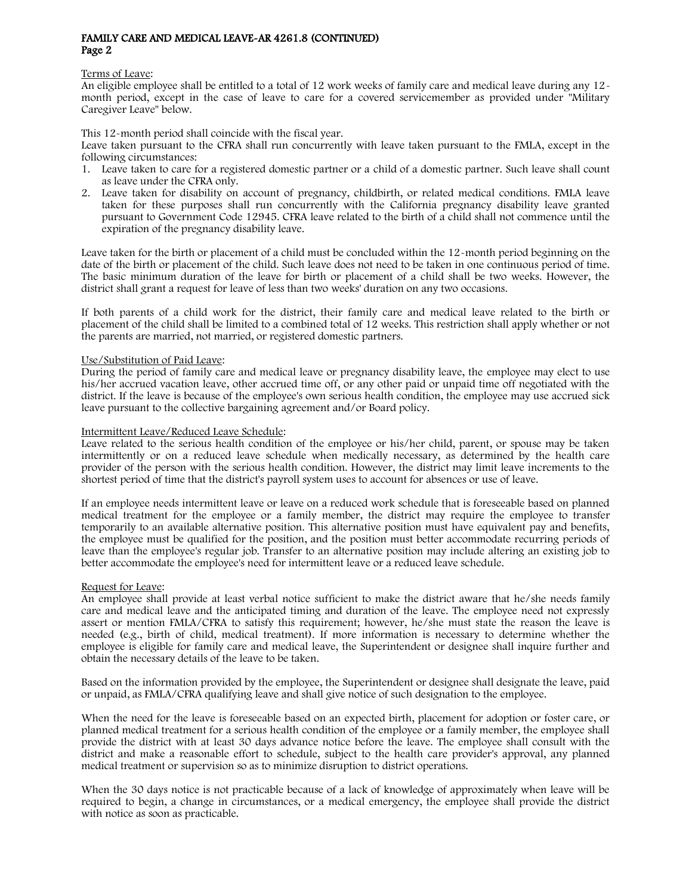#### Terms of Leave:

An eligible employee shall be entitled to a total of 12 work weeks of family care and medical leave during any 12 month period, except in the case of leave to care for a covered servicemember as provided under "Military Caregiver Leave" below.

This 12-month period shall coincide with the fiscal year.

Leave taken pursuant to the CFRA shall run concurrently with leave taken pursuant to the FMLA, except in the following circumstances:

- 1. Leave taken to care for a registered domestic partner or a child of a domestic partner. Such leave shall count as leave under the CFRA only.
- 2. Leave taken for disability on account of pregnancy, childbirth, or related medical conditions. FMLA leave taken for these purposes shall run concurrently with the California pregnancy disability leave granted pursuant to Government Code [12945.](http://www.gamutonline.net/displayPolicy/146412/4) CFRA leave related to the birth of a child shall not commence until the expiration of the pregnancy disability leave.

Leave taken for the birth or placement of a child must be concluded within the 12-month period beginning on the date of the birth or placement of the child. Such leave does not need to be taken in one continuous period of time. The basic minimum duration of the leave for birth or placement of a child shall be two weeks. However, the district shall grant a request for leave of less than two weeks' duration on any two occasions.

If both parents of a child work for the district, their family care and medical leave related to the birth or placement of the child shall be limited to a combined total of 12 weeks. This restriction shall apply whether or not the parents are married, not married, or registered domestic partners.

#### Use/Substitution of Paid Leave:

During the period of family care and medical leave or pregnancy disability leave, the employee may elect to use his/her accrued vacation leave, other accrued time off, or any other paid or unpaid time off negotiated with the district. If the leave is because of the employee's own serious health condition, the employee may use accrued sick leave pursuant to the collective bargaining agreement and/or Board policy.

# Intermittent Leave/Reduced Leave Schedule:

Leave related to the serious health condition of the employee or his/her child, parent, or spouse may be taken intermittently or on a reduced leave schedule when medically necessary, as determined by the health care provider of the person with the serious health condition. However, the district may limit leave increments to the shortest period of time that the district's payroll system uses to account for absences or use of leave.

If an employee needs intermittent leave or leave on a reduced work schedule that is foreseeable based on planned medical treatment for the employee or a family member, the district may require the employee to transfer temporarily to an available alternative position. This alternative position must have equivalent pay and benefits, the employee must be qualified for the position, and the position must better accommodate recurring periods of leave than the employee's regular job. Transfer to an alternative position may include altering an existing job to better accommodate the employee's need for intermittent leave or a reduced leave schedule.

#### Request for Leave:

An employee shall provide at least verbal notice sufficient to make the district aware that he/she needs family care and medical leave and the anticipated timing and duration of the leave. The employee need not expressly assert or mention FMLA/CFRA to satisfy this requirement; however, he/she must state the reason the leave is needed (e.g., birth of child, medical treatment). If more information is necessary to determine whether the employee is eligible for family care and medical leave, the Superintendent or designee shall inquire further and obtain the necessary details of the leave to be taken.

Based on the information provided by the employee, the Superintendent or designee shall designate the leave, paid or unpaid, as FMLA/CFRA qualifying leave and shall give notice of such designation to the employee.

When the need for the leave is foreseeable based on an expected birth, placement for adoption or foster care, or planned medical treatment for a serious health condition of the employee or a family member, the employee shall provide the district with at least 30 days advance notice before the leave. The employee shall consult with the district and make a reasonable effort to schedule, subject to the health care provider's approval, any planned medical treatment or supervision so as to minimize disruption to district operations.

When the 30 days notice is not practicable because of a lack of knowledge of approximately when leave will be required to begin, a change in circumstances, or a medical emergency, the employee shall provide the district with notice as soon as practicable.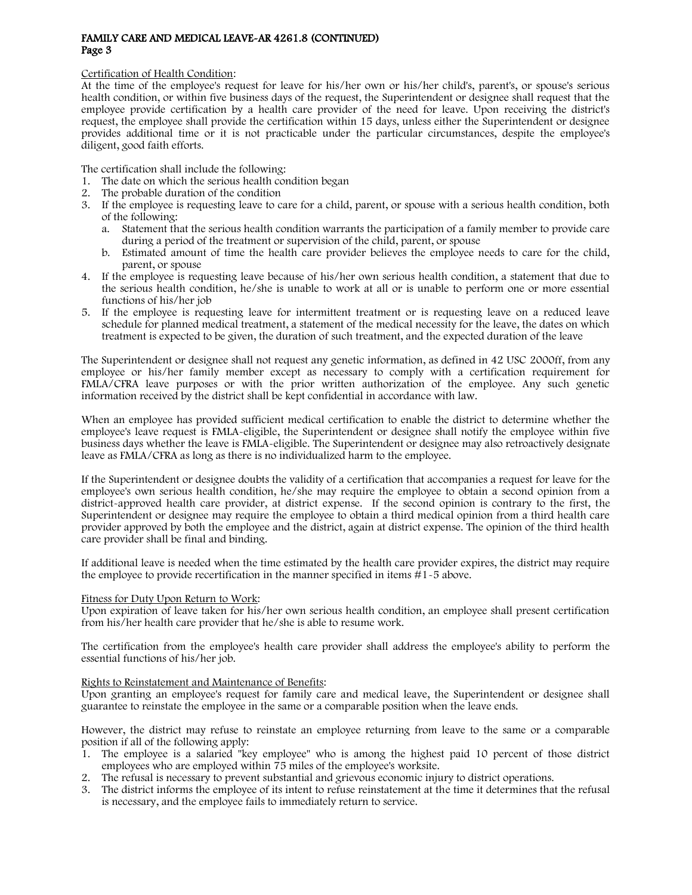#### Certification of Health Condition:

At the time of the employee's request for leave for his/her own or his/her child's, parent's, or spouse's serious health condition, or within five business days of the request, the Superintendent or designee shall request that the employee provide certification by a health care provider of the need for leave. Upon receiving the district's request, the employee shall provide the certification within 15 days, unless either the Superintendent or designee provides additional time or it is not practicable under the particular circumstances, despite the employee's diligent, good faith efforts.

The certification shall include the following:

- 1. The date on which the serious health condition began
- 2. The probable duration of the condition
- 3. If the employee is requesting leave to care for a child, parent, or spouse with a serious health condition, both of the following:
	- a. Statement that the serious health condition warrants the participation of a family member to provide care during a period of the treatment or supervision of the child, parent, or spouse
	- b. Estimated amount of time the health care provider believes the employee needs to care for the child, parent, or spouse
- 4. If the employee is requesting leave because of his/her own serious health condition, a statement that due to the serious health condition, he/she is unable to work at all or is unable to perform one or more essential functions of his/her job
- 5. If the employee is requesting leave for intermittent treatment or is requesting leave on a reduced leave schedule for planned medical treatment, a statement of the medical necessity for the leave, the dates on which treatment is expected to be given, the duration of such treatment, and the expected duration of the leave

The Superintendent or designee shall not request any genetic information, as defined in 42 USC [2000ff,](http://www.gamutonline.net/displayPolicy/605600/4) from any employee or his/her family member except as necessary to comply with a certification requirement for FMLA/CFRA leave purposes or with the prior written authorization of the employee. Any such genetic information received by the district shall be kept confidential in accordance with law.

When an employee has provided sufficient medical certification to enable the district to determine whether the employee's leave request is FMLA-eligible, the Superintendent or designee shall notify the employee within five business days whether the leave is FMLA-eligible. The Superintendent or designee may also retroactively designate leave as FMLA/CFRA as long as there is no individualized harm to the employee.

If the Superintendent or designee doubts the validity of a certification that accompanies a request for leave for the employee's own serious health condition, he/she may require the employee to obtain a second opinion from a district-approved health care provider, at district expense. If the second opinion is contrary to the first, the Superintendent or designee may require the employee to obtain a third medical opinion from a third health care provider approved by both the employee and the district, again at district expense. The opinion of the third health care provider shall be final and binding.

If additional leave is needed when the time estimated by the health care provider expires, the district may require the employee to provide recertification in the manner specified in items #1-5 above.

#### Fitness for Duty Upon Return to Work:

Upon expiration of leave taken for his/her own serious health condition, an employee shall present certification from his/her health care provider that he/she is able to resume work.

The certification from the employee's health care provider shall address the employee's ability to perform the essential functions of his/her job.

#### Rights to Reinstatement and Maintenance of Benefits:

Upon granting an employee's request for family care and medical leave, the Superintendent or designee shall guarantee to reinstate the employee in the same or a comparable position when the leave ends.

However, the district may refuse to reinstate an employee returning from leave to the same or a comparable position if all of the following apply:

- 1. The employee is a salaried "key employee" who is among the highest paid 10 percent of those district employees who are employed within 75 miles of the employee's worksite.
- 2. The refusal is necessary to prevent substantial and grievous economic injury to district operations.
- 3. The district informs the employee of its intent to refuse reinstatement at the time it determines that the refusal is necessary, and the employee fails to immediately return to service.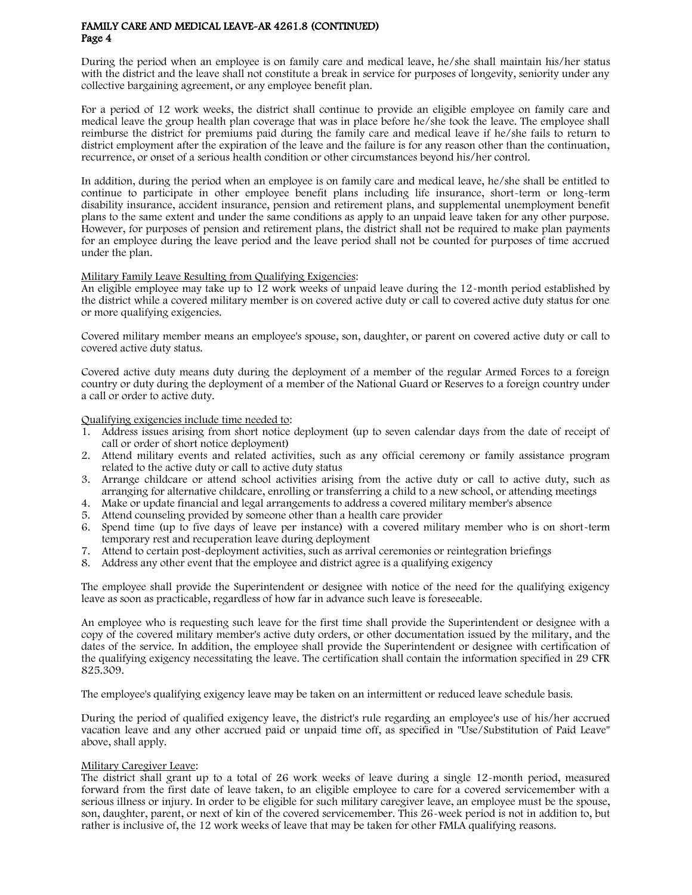During the period when an employee is on family care and medical leave, he/she shall maintain his/her status with the district and the leave shall not constitute a break in service for purposes of longevity, seniority under any collective bargaining agreement, or any employee benefit plan.

For a period of 12 work weeks, the district shall continue to provide an eligible employee on family care and medical leave the group health plan coverage that was in place before he/she took the leave. The employee shall reimburse the district for premiums paid during the family care and medical leave if he/she fails to return to district employment after the expiration of the leave and the failure is for any reason other than the continuation, recurrence, or onset of a serious health condition or other circumstances beyond his/her control.

In addition, during the period when an employee is on family care and medical leave, he/she shall be entitled to continue to participate in other employee benefit plans including life insurance, short-term or long-term disability insurance, accident insurance, pension and retirement plans, and supplemental unemployment benefit plans to the same extent and under the same conditions as apply to an unpaid leave taken for any other purpose. However, for purposes of pension and retirement plans, the district shall not be required to make plan payments for an employee during the leave period and the leave period shall not be counted for purposes of time accrued under the plan.

# Military Family Leave Resulting from Qualifying Exigencies:

An eligible employee may take up to 12 work weeks of unpaid leave during the 12-month period established by the district while a covered military member is on covered active duty or call to covered active duty status for one or more qualifying exigencies.

Covered military member means an employee's spouse, son, daughter, or parent on covered active duty or call to covered active duty status.

Covered active duty means duty during the deployment of a member of the regular Armed Forces to a foreign country or duty during the deployment of a member of the National Guard or Reserves to a foreign country under a call or order to active duty.

Qualifying exigencies include time needed to:

- 1. Address issues arising from short notice deployment (up to seven calendar days from the date of receipt of call or order of short notice deployment)
- 2. Attend military events and related activities, such as any official ceremony or family assistance program related to the active duty or call to active duty status
- 3. Arrange childcare or attend school activities arising from the active duty or call to active duty, such as arranging for alternative childcare, enrolling or transferring a child to a new school, or attending meetings
- 4. Make or update financial and legal arrangements to address a covered military member's absence
- 5. Attend counseling provided by someone other than a health care provider
- 6. Spend time (up to five days of leave per instance) with a covered military member who is on short-term temporary rest and recuperation leave during deployment
- 7. Attend to certain post-deployment activities, such as arrival ceremonies or reintegration briefings
- 8. Address any other event that the employee and district agree is a qualifying exigency

The employee shall provide the Superintendent or designee with notice of the need for the qualifying exigency leave as soon as practicable, regardless of how far in advance such leave is foreseeable.

An employee who is requesting such leave for the first time shall provide the Superintendent or designee with a copy of the covered military member's active duty orders, or other documentation issued by the military, and the dates of the service. In addition, the employee shall provide the Superintendent or designee with certification of the qualifying exigency necessitating the leave. The certification shall contain the information specified in 29 CFR [825.309.](http://www.gamutonline.net/displayPolicy/120647/4) 

The employee's qualifying exigency leave may be taken on an intermittent or reduced leave schedule basis.

During the period of qualified exigency leave, the district's rule regarding an employee's use of his/her accrued vacation leave and any other accrued paid or unpaid time off, as specified in "Use/Substitution of Paid Leave" above, shall apply.

#### Military Caregiver Leave:

The district shall grant up to a total of 26 work weeks of leave during a single 12-month period, measured forward from the first date of leave taken, to an eligible employee to care for a covered servicemember with a serious illness or injury. In order to be eligible for such military caregiver leave, an employee must be the spouse, son, daughter, parent, or next of kin of the covered servicemember. This 26-week period is not in addition to, but rather is inclusive of, the 12 work weeks of leave that may be taken for other FMLA qualifying reasons.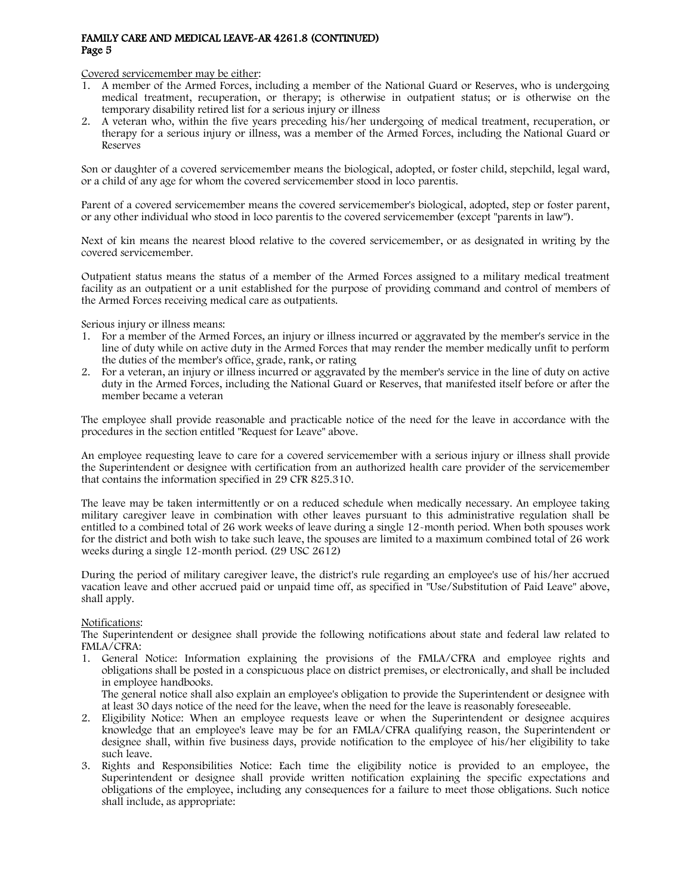Covered servicemember may be either:

- 1. A member of the Armed Forces, including a member of the National Guard or Reserves, who is undergoing medical treatment, recuperation, or therapy; is otherwise in outpatient status; or is otherwise on the temporary disability retired list for a serious injury or illness
- 2. A veteran who, within the five years preceding his/her undergoing of medical treatment, recuperation, or therapy for a serious injury or illness, was a member of the Armed Forces, including the National Guard or Reserves

Son or daughter of a covered servicemember means the biological, adopted, or foster child, stepchild, legal ward, or a child of any age for whom the covered servicemember stood in loco parentis.

Parent of a covered servicemember means the covered servicemember's biological, adopted, step or foster parent, or any other individual who stood in loco parentis to the covered servicemember (except "parents in law").

Next of kin means the nearest blood relative to the covered servicemember, or as designated in writing by the covered servicemember.

Outpatient status means the status of a member of the Armed Forces assigned to a military medical treatment facility as an outpatient or a unit established for the purpose of providing command and control of members of the Armed Forces receiving medical care as outpatients.

Serious injury or illness means:

- 1. For a member of the Armed Forces, an injury or illness incurred or aggravated by the member's service in the line of duty while on active duty in the Armed Forces that may render the member medically unfit to perform the duties of the member's office, grade, rank, or rating
- 2. For a veteran, an injury or illness incurred or aggravated by the member's service in the line of duty on active duty in the Armed Forces, including the National Guard or Reserves, that manifested itself before or after the member became a veteran

The employee shall provide reasonable and practicable notice of the need for the leave in accordance with the procedures in the section entitled "Request for Leave" above.

An employee requesting leave to care for a covered servicemember with a serious injury or illness shall provide the Superintendent or designee with certification from an authorized health care provider of the servicemember that contains the information specified in 29 CFR [825.310.](http://www.gamutonline.net/displayPolicy/120648/4)

The leave may be taken intermittently or on a reduced schedule when medically necessary. An employee taking military caregiver leave in combination with other leaves pursuant to this administrative regulation shall be entitled to a combined total of 26 work weeks of leave during a single 12-month period. When both spouses work for the district and both wish to take such leave, the spouses are limited to a maximum combined total of 26 work weeks during a single 12-month period. (29 USC [2612\)](http://www.gamutonline.net/displayPolicy/190947/4)

During the period of military caregiver leave, the district's rule regarding an employee's use of his/her accrued vacation leave and other accrued paid or unpaid time off, as specified in "Use/Substitution of Paid Leave" above, shall apply.

#### Notifications:

The Superintendent or designee shall provide the following notifications about state and federal law related to FMLA/CFRA:

1. General Notice: Information explaining the provisions of the FMLA/CFRA and employee rights and obligations shall be posted in a conspicuous place on district premises, or electronically, and shall be included in employee handbooks.

The general notice shall also explain an employee's obligation to provide the Superintendent or designee with at least 30 days notice of the need for the leave, when the need for the leave is reasonably foreseeable.

- 2. Eligibility Notice: When an employee requests leave or when the Superintendent or designee acquires knowledge that an employee's leave may be for an FMLA/CFRA qualifying reason, the Superintendent or designee shall, within five business days, provide notification to the employee of his/her eligibility to take such leave.
- 3. Rights and Responsibilities Notice: Each time the eligibility notice is provided to an employee, the Superintendent or designee shall provide written notification explaining the specific expectations and obligations of the employee, including any consequences for a failure to meet those obligations. Such notice shall include, as appropriate: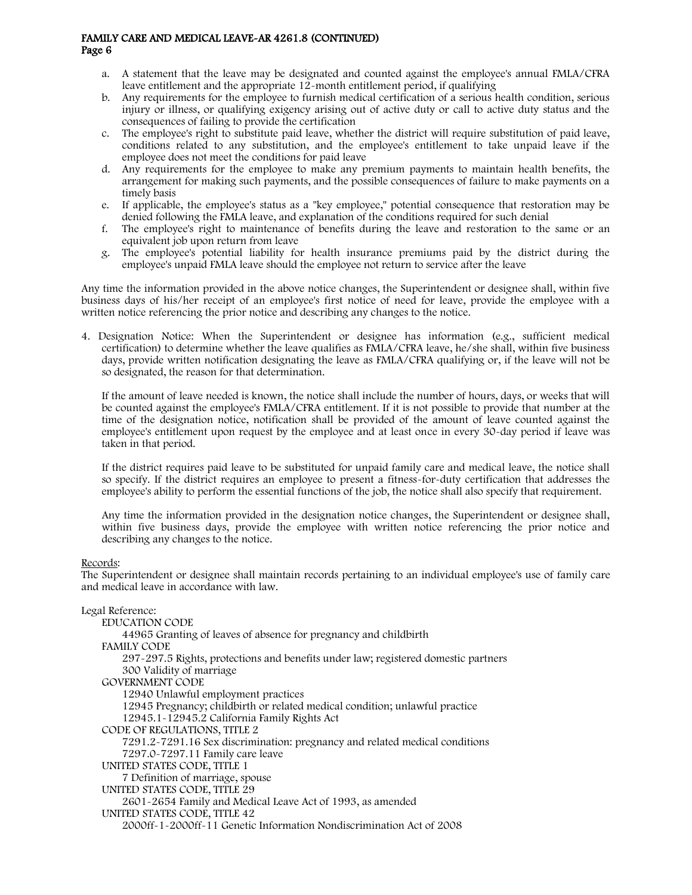- a. A statement that the leave may be designated and counted against the employee's annual FMLA/CFRA leave entitlement and the appropriate 12-month entitlement period, if qualifying
- b. Any requirements for the employee to furnish medical certification of a serious health condition, serious injury or illness, or qualifying exigency arising out of active duty or call to active duty status and the consequences of failing to provide the certification
- c. The employee's right to substitute paid leave, whether the district will require substitution of paid leave, conditions related to any substitution, and the employee's entitlement to take unpaid leave if the employee does not meet the conditions for paid leave
- d. Any requirements for the employee to make any premium payments to maintain health benefits, the arrangement for making such payments, and the possible consequences of failure to make payments on a timely basis
- e. If applicable, the employee's status as a "key employee," potential consequence that restoration may be denied following the FMLA leave, and explanation of the conditions required for such denial
- f. The employee's right to maintenance of benefits during the leave and restoration to the same or an equivalent job upon return from leave
- g. The employee's potential liability for health insurance premiums paid by the district during the employee's unpaid FMLA leave should the employee not return to service after the leave

Any time the information provided in the above notice changes, the Superintendent or designee shall, within five business days of his/her receipt of an employee's first notice of need for leave, provide the employee with a written notice referencing the prior notice and describing any changes to the notice.

4. Designation Notice: When the Superintendent or designee has information (e.g., sufficient medical certification) to determine whether the leave qualifies as FMLA/CFRA leave, he/she shall, within five business days, provide written notification designating the leave as FMLA/CFRA qualifying or, if the leave will not be so designated, the reason for that determination.

If the amount of leave needed is known, the notice shall include the number of hours, days, or weeks that will be counted against the employee's FMLA/CFRA entitlement. If it is not possible to provide that number at the time of the designation notice, notification shall be provided of the amount of leave counted against the employee's entitlement upon request by the employee and at least once in every 30-day period if leave was taken in that period.

If the district requires paid leave to be substituted for unpaid family care and medical leave, the notice shall so specify. If the district requires an employee to present a fitness-for-duty certification that addresses the employee's ability to perform the essential functions of the job, the notice shall also specify that requirement.

Any time the information provided in the designation notice changes, the Superintendent or designee shall, within five business days, provide the employee with written notice referencing the prior notice and describing any changes to the notice.

#### Records:

The Superintendent or designee shall maintain records pertaining to an individual employee's use of family care and medical leave in accordance with law.

#### Legal Reference:

EDUCATION CODE [44965](http://www.gamutonline.net/displayPolicy/131073/4) Granting of leaves of absence for pregnancy and childbirth FAMILY CODE [297](http://www.gamutonline.net/displayPolicy/327555/4)[-297.5](http://www.gamutonline.net/displayPolicy/327556/4) Rights, protections and benefits under law; registered domestic partners [300](http://www.gamutonline.net/displayPolicy/622236/4) Validity of marriage GOVERNMENT CODE [12940](http://www.gamutonline.net/displayPolicy/146260/4) Unlawful employment practices [12945](http://www.gamutonline.net/displayPolicy/146412/4) Pregnancy; childbirth or related medical condition; unlawful practice [12945.1](http://www.gamutonline.net/displayPolicy/211120/4)[-12945.2](http://www.gamutonline.net/displayPolicy/144662/4) California Family Rights Act CODE OF REGULATIONS, TITLE 2 [7291.2](http://www.gamutonline.net/displayPolicy/367983/4)[-7291.16](http://www.gamutonline.net/displayPolicy/367969/4) Sex discrimination: pregnancy and related medical conditions [7297.0](http://www.gamutonline.net/displayPolicy/367968/4)[-7297.11](http://www.gamutonline.net/displayPolicy/367957/4) Family care leave UNITED STATES CODE, TITLE 1 7 Definition of marriage, spouse UNITED STATES CODE, TITLE 29 [2601](http://www.gamutonline.net/displayPolicy/190945/4)[-2654](http://www.gamutonline.net/displayPolicy/190964/4) Family and Medical Leave Act of 1993, as amended UNITED STATES CODE, TITLE 42 [2000ff-](http://www.gamutonline.net/displayPolicy/605600/4)1-2000ff-11 Genetic Information Nondiscrimination Act of 2008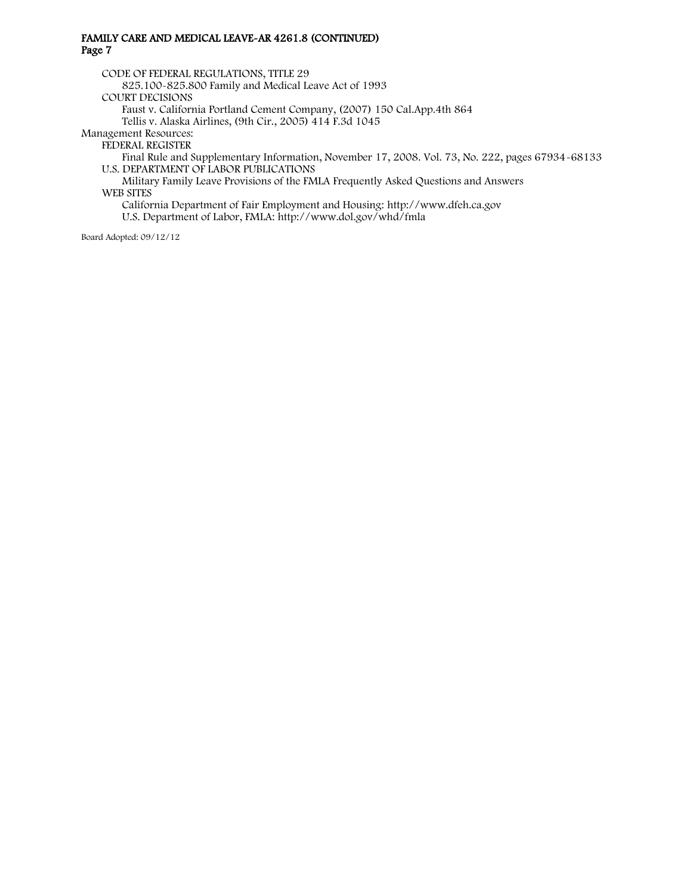CODE OF FEDERAL REGULATIONS, TITLE 29

[825.100](http://www.gamutonline.net/displayPolicy/558805/4)[-825.800](http://www.gamutonline.net/displayPolicy/120665/4) Family and Medical Leave Act of 1993 COURT DECISIONS

Faust v. California Portland Cement Company, (2007) 150 Cal.App.4th 864

Tellis v. Alaska Airlines, (9th Cir., 2005) 414 F.3d 1045

Management Resources:

FEDERAL REGISTER

Final Rule and Supplementary Information, November 17, 2008. Vol. 73, No. 222, pages 67934-68133 U.S. DEPARTMENT OF LABOR PUBLICATIONS

Military Family Leave Provisions of the FMLA Frequently Asked Questions and Answers WEB SITES

California Department of Fair Employment and Housing[: http://www.dfeh.ca.gov](http://www.dfeh.ca.gov/) U.S. Department of Labor, FMLA[: http://www.dol.gov/whd/fmla](http://www.dol.gov/whd/fmla)

Board Adopted: 09/12/12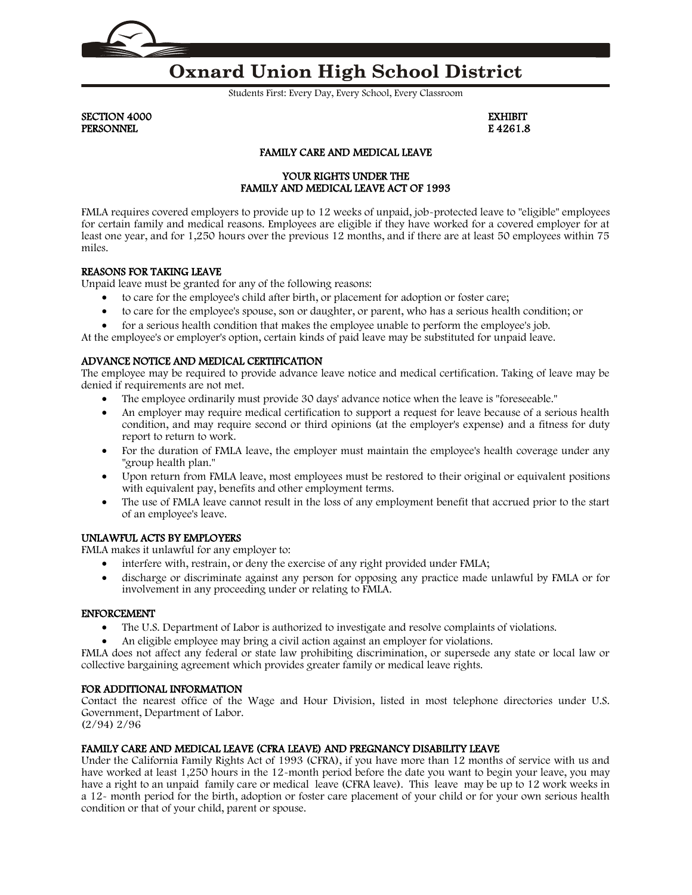

# **Oxnard Union High School District**

Students First: Every Day, Every School, Every Classroom

SECTION 4000 EXHIBIT PERSONNEL **Example 2008** 2 and 2008 2 and 2008 2 and 2008 2 and 2008 2 and 2008 2 and 2008 2 and 2008 2 and 2008 2 and 2008 2 and 2008 2 and 2008 2 and 2008 2 and 2008 2 and 2008 2 and 2008 2 and 2008 2 and 2008 2 and 2008

# FAMILY CARE AND MEDICAL LEAVE

# YOUR RIGHTS UNDER THE FAMILY AND MEDICAL LEAVE ACT OF 1993

FMLA requires covered employers to provide up to 12 weeks of unpaid, job-protected leave to "eligible" employees for certain family and medical reasons. Employees are eligible if they have worked for a covered employer for at least one year, and for 1,250 hours over the previous 12 months, and if there are at least 50 employees within 75 miles.

# REASONS FOR TAKING LEAVE

Unpaid leave must be granted for any of the following reasons:

- to care for the employee's child after birth, or placement for adoption or foster care;
- to care for the employee's spouse, son or daughter, or parent, who has a serious health condition; or
- for a serious health condition that makes the employee unable to perform the employee's job.

At the employee's or employer's option, certain kinds of paid leave may be substituted for unpaid leave.

# ADVANCE NOTICE AND MEDICAL CERTIFICATION

The employee may be required to provide advance leave notice and medical certification. Taking of leave may be denied if requirements are not met.

- The employee ordinarily must provide 30 days' advance notice when the leave is "foreseeable."
- An employer may require medical certification to support a request for leave because of a serious health condition, and may require second or third opinions (at the employer's expense) and a fitness for duty report to return to work.
- For the duration of FMLA leave, the employer must maintain the employee's health coverage under any "group health plan."
- Upon return from FMLA leave, most employees must be restored to their original or equivalent positions with equivalent pay, benefits and other employment terms.
- The use of FMLA leave cannot result in the loss of any employment benefit that accrued prior to the start of an employee's leave.

# UNLAWFUL ACTS BY EMPLOYERS

FMLA makes it unlawful for any employer to:

- interfere with, restrain, or deny the exercise of any right provided under FMLA;
- discharge or discriminate against any person for opposing any practice made unlawful by FMLA or for involvement in any proceeding under or relating to FMLA.

#### ENFORCEMENT

- The U.S. Department of Labor is authorized to investigate and resolve complaints of violations.
- An eligible employee may bring a civil action against an employer for violations.

FMLA does not affect any federal or state law prohibiting discrimination, or supersede any state or local law or collective bargaining agreement which provides greater family or medical leave rights.

#### FOR ADDITIONAL INFORMATION

Contact the nearest office of the Wage and Hour Division, listed in most telephone directories under U.S. Government, Department of Labor.

(2/94) 2/96

# FAMILY CARE AND MEDICAL LEAVE (CFRA LEAVE) AND PREGNANCY DISABILITY LEAVE

Under the California Family Rights Act of 1993 (CFRA), if you have more than 12 months of service with us and have worked at least 1,250 hours in the 12-month period before the date you want to begin your leave, you may have a right to an unpaid family care or medical leave (CFRA leave). This leave may be up to 12 work weeks in a 12- month period for the birth, adoption or foster care placement of your child or for your own serious health condition or that of your child, parent or spouse.